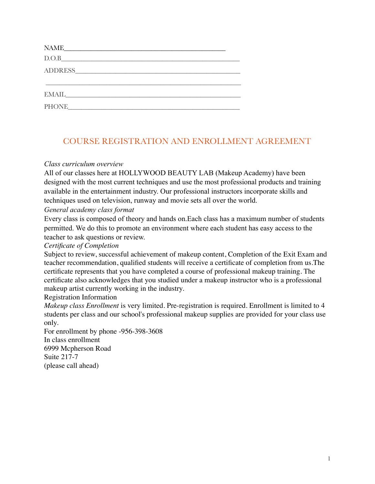| NAME NAME                                                                    |  |  |
|------------------------------------------------------------------------------|--|--|
| D.O.B<br><u> 1980 - Andrea Station Barbara, amerikan personal (h. 1980).</u> |  |  |
|                                                                              |  |  |
|                                                                              |  |  |
| EMAIL                                                                        |  |  |
| <b>PHONE</b>                                                                 |  |  |

# COURSE REGISTRATION AND ENROLLMENT AGREEMENT

## *Class curriculum overview*

All of our classes here at HOLLYWOOD BEAUTY LAB (Makeup Academy) have been designed with the most current techniques and use the most professional products and training available in the entertainment industry. Our professional instructors incorporate skills and techniques used on television, runway and movie sets all over the world.

### *General academy class format*

Every class is composed of theory and hands on.Each class has a maximum number of students permitted. We do this to promote an environment where each student has easy access to the teacher to ask questions or review.

## *Certificate of Completion*

Subject to review, successful achievement of makeup content, Completion of the Exit Exam and teacher recommendation, qualified students will receive a certificate of completion from us.The certificate represents that you have completed a course of professional makeup training. The certificate also acknowledges that you studied under a makeup instructor who is a professional makeup artist currently working in the industry.

## Registration Information

*Makeup class Enrollment* is very limited. Pre-registration is required. Enrollment is limited to 4 students per class and our school's professional makeup supplies are provided for your class use only.

For enrollment by phone -956-398-3608 In class enrollment 6999 Mcpherson Road Suite 217-7 (please call ahead)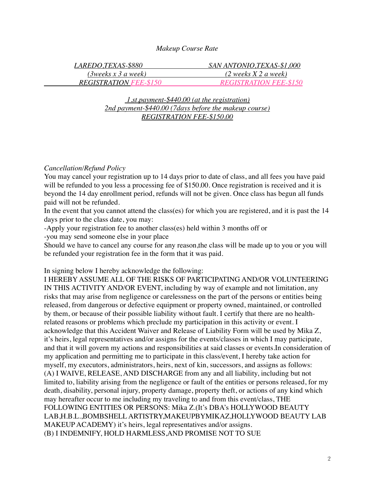#### *Makeup Course Rate*

| LAREDO,TEXAS-\$880            | SAN ANTONIO,TEXAS-\$1,000               |
|-------------------------------|-----------------------------------------|
|                               | $(2 \text{ weeks } X 2 \text{ a week})$ |
| <b>REGISTRATION FEE-\$150</b> | <b>REGISTRATION FEE-\$150</b>           |

#### *1.st.payment-\$440.00 (at the registration) 2nd payment-\$440.00 (7days before the makeup course) REGISTRATION FEE-\$150.00*

#### *Cancellation/Refund Policy*

You may cancel your registration up to 14 days prior to date of class, and all fees you have paid will be refunded to you less a processing fee of \$150.00. Once registration is received and it is beyond the 14 day enrollment period, refunds will not be given. Once class has begun all funds paid will not be refunded.

In the event that you cannot attend the class(es) for which you are registered, and it is past the 14 days prior to the class date, you may:

-Apply your registration fee to another class(es) held within 3 months off or

-you may send someone else in your place

Should we have to cancel any course for any reason,the class will be made up to you or you will be refunded your registration fee in the form that it was paid.

In signing below I hereby acknowledge the following:

I HEREBY ASSUME ALL OF THE RISKS OF PARTICIPATING AND/OR VOLUNTEERING IN THIS ACTIVITY AND/OR EVENT, including by way of example and not limitation, any risks that may arise from negligence or carelessness on the part of the persons or entities being released, from dangerous or defective equipment or property owned, maintained, or controlled by them, or because of their possible liability without fault. I certify that there are no healthrelated reasons or problems which preclude my participation in this activity or event. I acknowledge that this Accident Waiver and Release of Liability Form will be used by Mika Z, it's heirs, legal representatives and/or assigns for the events/classes in which I may participate, and that it will govern my actions and responsibilities at said classes or events.In consideration of my application and permitting me to participate in this class/event, I hereby take action for myself, my executors, administrators, heirs, next of kin, successors, and assigns as follows: (A) I WAIVE, RELEASE, AND DISCHARGE from any and all liability, including but not limited to, liability arising from the negligence or fault of the entities or persons released, for my death, disability, personal injury, property damage, property theft, or actions of any kind which may hereafter occur to me including my traveling to and from this event/class, THE FOLLOWING ENTITIES OR PERSONS: Mika Z.(It's DBA's HOLLYWOOD BEAUTY LAB,H.B.L.,BOMBSHELL ARTISTRY,MAKEUPBYMIKAZ,HOLLYWOOD BEAUTY LAB MAKEUP ACADEMY) it's heirs, legal representatives and/or assigns. (B) I INDEMNIFY, HOLD HARMLESS,AND PROMISE NOT TO SUE